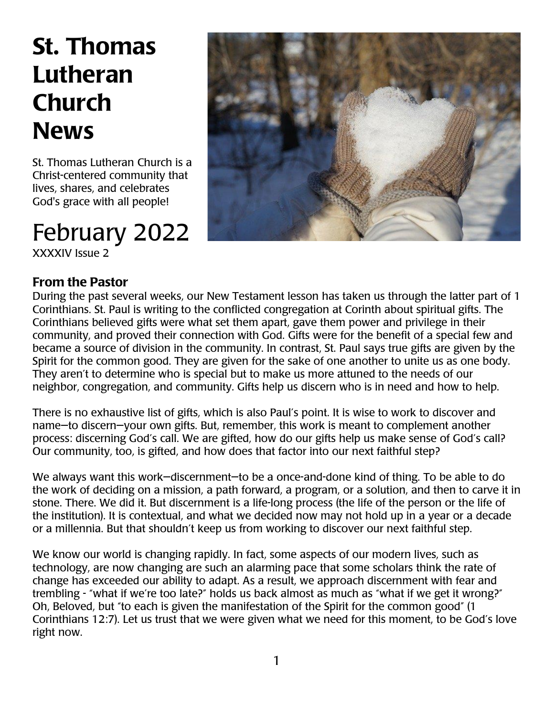## St. Thomas Lutheran Church **News**

St. Thomas Lutheran Church is a Christ-centered community that lives, shares, and celebrates God's grace with all people!

## February 2022

XXXXIV Issue 2

### From the Pastor



During the past several weeks, our New Testament lesson has taken us through the latter part of 1 Corinthians. St. Paul is writing to the conflicted congregation at Corinth about spiritual gifts. The Corinthians believed gifts were what set them apart, gave them power and privilege in their community, and proved their connection with God. Gifts were for the benefit of a special few and became a source of division in the community. In contrast, St. Paul says true gifts are given by the Spirit for the common good. They are given for the sake of one another to unite us as one body. They aren't to determine who is special but to make us more attuned to the needs of our neighbor, congregation, and community. Gifts help us discern who is in need and how to help.

There is no exhaustive list of gifts, which is also Paul's point. It is wise to work to discover and name—to discern—your own gifts. But, remember, this work is meant to complement another process: discerning God's call. We are gifted, how do our gifts help us make sense of God's call? Our community, too, is gifted, and how does that factor into our next faithful step?

We always want this work—discernment—to be a once-and-done kind of thing. To be able to do the work of deciding on a mission, a path forward, a program, or a solution, and then to carve it in stone. There. We did it. But discernment is a life-long process (the life of the person or the life of the institution). It is contextual, and what we decided now may not hold up in a year or a decade or a millennia. But that shouldn't keep us from working to discover our next faithful step.

We know our world is changing rapidly. In fact, some aspects of our modern lives, such as technology, are now changing are such an alarming pace that some scholars think the rate of change has exceeded our ability to adapt. As a result, we approach discernment with fear and trembling - "what if we're too late?" holds us back almost as much as "what if we get it wrong?" Oh, Beloved, but "to each is given the manifestation of the Spirit for the common good" (1 Corinthians 12:7). Let us trust that we were given what we need for this moment, to be God's love right now.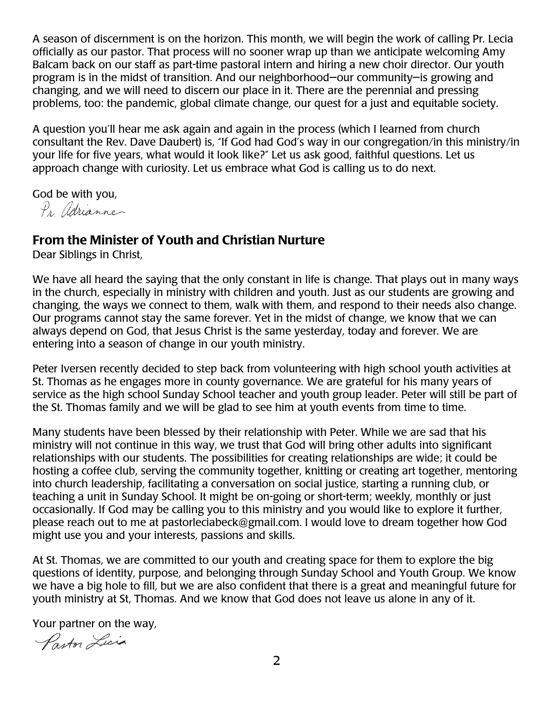A season of discernment is on the horizon. This month, we will begin the work of calling Pr. Lecia officially as our pastor. That process will no sooner wrap up than we anticipate welcoming Amy Balcam back on our staff as part-time pastoral intern and hiring a new choir director. Our youth program is in the midst of transition. And our neighborhood—our community—is growing and changing, and we will need to discern our place in it. There are the perennial and pressing problems, too: the pandemic, global climate change, our quest for a just and equitable society.

A question you'll hear me ask again and again in the process (which I learned from church consultant the Rev. Dave Daubert) is, "If God had God's way in our congregation/in this ministry/in your life for five years, what would it look like?" Let us ask good, faithful questions. Let us approach change with curiosity. Let us embrace what God is calling us to do next.

God be with you,

Pr. Adrianne

#### From the Minister of Youth and Christian Nurture

Dear Siblings in Christ,

We have all heard the saying that the only constant in life is change. That plays out in many ways in the church, especially in ministry with children and youth. Just as our students are growing and changing, the ways we connect to them, walk with them, and respond to their needs also change. Our programs cannot stay the same forever. Yet in the midst of change, we know that we can always depend on God, that Jesus Christ is the same yesterday, today and forever. We are entering into a season of change in our youth ministry.

Peter Iversen recently decided to step back from volunteering with high school youth activities at St. Thomas as he engages more in county governance. We are grateful for his many years of service as the high school Sunday School teacher and youth group leader. Peter will still be part of the St. Thomas family and we will be glad to see him at youth events from time to time.

Many students have been blessed by their relationship with Peter. While we are sad that his ministry will not continue in this way, we trust that God will bring other adults into significant relationships with our students. The possibilities for creating relationships are wide; it could be hosting a coffee club, serving the community together, knitting or creating art together, mentoring into church leadership, facilitating a conversation on social justice, starting a running club, or teaching a unit in Sunday School. It might be on-going or short-term; weekly, monthly or just occasionally. If God may be calling you to this ministry and you would like to explore it further, please reach out to me at pastorleciabeck@gmail.com. I would love to dream together how God might use you and your interests, passions and skills.

At St. Thomas, we are committed to our youth and creating space for them to explore the big questions of identity, purpose, and belonging through Sunday School and Youth Group. We know we have a big hole to fill, but we are also confident that there is a great and meaningful future for youth ministry at St, Thomas. And we know that God does not leave us alone in any of it.

Your partner on the way,

Parton Licia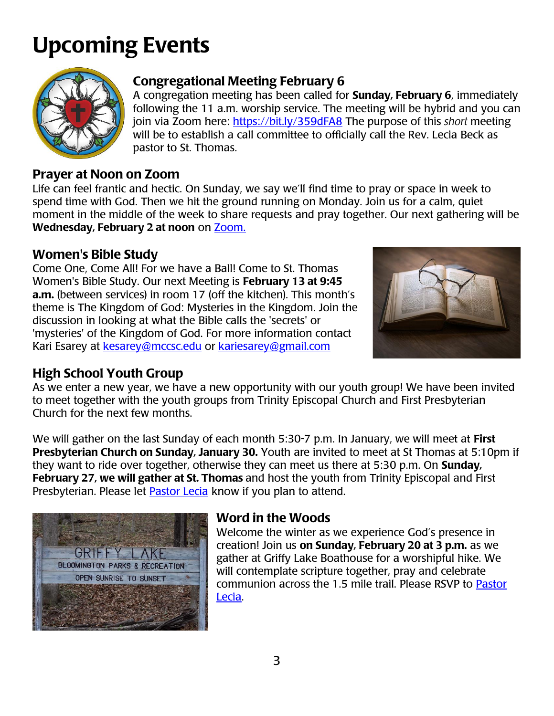# Upcoming Events



## Congregational Meeting February 6

A congregation meeting has been called for **Sunday, February 6**, immediately following the 11 a.m. worship service. The meeting will be hybrid and you can join via Zoom here: <https://bit.ly/359dFA8> The purpose of this *short* meeting will be to establish a call committee to officially call the Rev. Lecia Beck as pastor to St. Thomas.

## Prayer at Noon on Zoom

Life can feel frantic and hectic. On Sunday, we say we'll find time to pray or space in week to spend time with God. Then we hit the ground running on Monday. Join us for a calm, quiet moment in the middle of the week to share requests and pray together. Our next gathering will be Wednesday, February 2 at noon on [Zoom.](https://bit.ly/3jVA3k0)

## Women's Bible Study

Come One, Come All! For we have a Ball! Come to St. Thomas Women's Bible Study. Our next Meeting is February 13 at 9:45 a.m. (between services) in room 17 (off the kitchen). This month's theme is The Kingdom of God: Mysteries in the Kingdom. Join the discussion in looking at what the Bible calls the 'secrets' or 'mysteries' of the Kingdom of God. For more information contact Kari Esarey at [kesarey@mccsc.edu](mailto:kesarey@mccsc.edu) or [kariesarey@gmail.com](mailto:kariesarey@gmail.com)



## High School Youth Group

As we enter a new year, we have a new opportunity with our youth group! We have been invited to meet together with the youth groups from Trinity Episcopal Church and First Presbyterian Church for the next few months.

We will gather on the last Sunday of each month 5:30-7 p.m. In January, we will meet at First Presbyterian Church on Sunday, January 30. Youth are invited to meet at St Thomas at 5:10pm if they want to ride over together, otherwise they can meet us there at 5:30 p.m. On **Sunday**, February 27, we will gather at St. Thomas and host the youth from Trinity Episcopal and First Presbyterian. Please let **Pastor Lecia** know if you plan to attend.



### Word in the Woods

Welcome the winter as we experience God's presence in creation! Join us on Sunday, February 20 at 3 p.m. as we gather at Griffy Lake Boathouse for a worshipful hike. We will contemplate scripture together, pray and celebrate communion across the 1.5 mile trail. Please RSVP to [Pastor](mailto:pastorleciabeck@gmail.com)  [Lecia.](mailto:pastorleciabeck@gmail.com)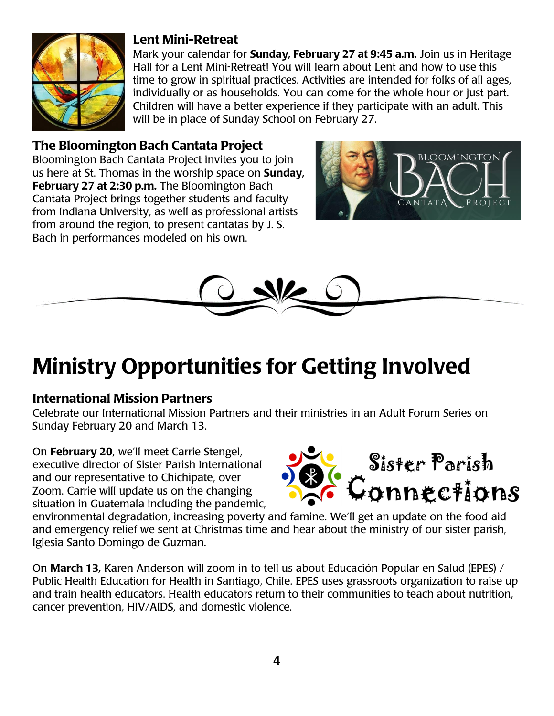

#### Lent Mini-Retreat

Mark your calendar for **Sunday, February 27 at 9:45 a.m.** Join us in Heritage Hall for a Lent Mini-Retreat! You will learn about Lent and how to use this time to grow in spiritual practices. Activities are intended for folks of all ages, individually or as households. You can come for the whole hour or just part. Children will have a better experience if they participate with an adult. This will be in place of Sunday School on February 27.

#### The Bloomington Bach Cantata Project

Bloomington Bach Cantata Project invites you to join us here at St. Thomas in the worship space on Sunday, February 27 at 2:30 p.m. The Bloomington Bach Cantata Project brings together students and faculty from Indiana University, as well as professional artists from around the region, to present cantatas by J. S. Bach in performances modeled on his own.





# Ministry Opportunities for Getting Involved

### International Mission Partners

Celebrate our International Mission Partners and their ministries in an Adult Forum Series on Sunday February 20 and March 13.

On February 20, we'll meet Carrie Stengel, executive director of Sister Parish International and our representative to Chichipate, over Zoom. Carrie will update us on the changing situation in Guatemala including the pandemic,



environmental degradation, increasing poverty and famine. We'll get an update on the food aid and emergency relief we sent at Christmas time and hear about the ministry of our sister parish, Iglesia Santo Domingo de Guzman.

On March 13, Karen Anderson will zoom in to tell us about Educación Popular en Salud (EPES) / Public Health Education for Health in Santiago, Chile. EPES uses grassroots organization to raise up and train health educators. Health educators return to their communities to teach about nutrition, cancer prevention, HIV/AIDS, and domestic violence.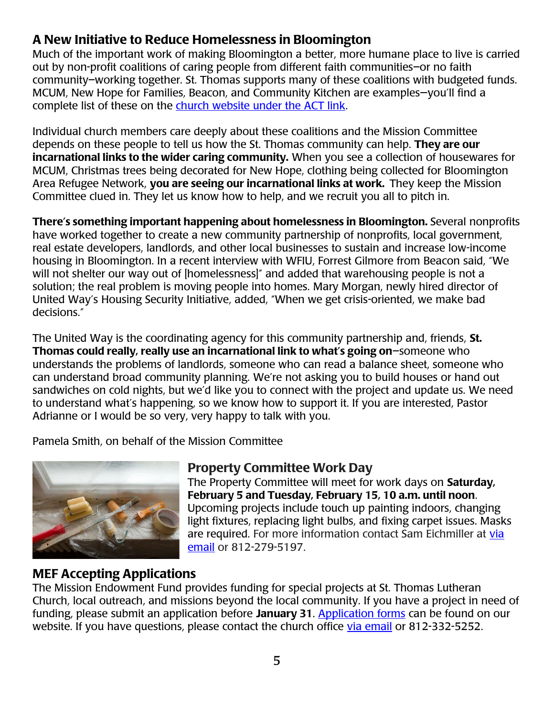### A New Initiative to Reduce Homelessness in Bloomington

Much of the important work of making Bloomington a better, more humane place to live is carried out by non-profit coalitions of caring people from different faith communities–or no faith community–working together. St. Thomas supports many of these coalitions with budgeted funds. MCUM, New Hope for Families, Beacon, and Community Kitchen are examples—you'll find a complete list of these on the [church website under the ACT link.](https://stlconline.org/act/)

Individual church members care deeply about these coalitions and the Mission Committee depends on these people to tell us how the St. Thomas community can help. They are our incarnational links to the wider caring community. When you see a collection of housewares for MCUM, Christmas trees being decorated for New Hope, clothing being collected for Bloomington Area Refugee Network, you are seeing our incarnational links at work. They keep the Mission Committee clued in. They let us know how to help, and we recruit you all to pitch in.

There's something important happening about homelessness in Bloomington. Several nonprofits have worked together to create a new community partnership of nonprofits, local government, real estate developers, landlords, and other local businesses to sustain and increase low-income housing in Bloomington. In a recent interview with WFIU, Forrest Gilmore from Beacon said, "We will not shelter our way out of [homelessness]" and added that warehousing people is not a solution; the real problem is moving people into homes. Mary Morgan, newly hired director of United Way's Housing Security Initiative, added, "When we get crisis-oriented, we make bad decisions."

The United Way is the coordinating agency for this community partnership and, friends, St. Thomas could really, really use an incarnational link to what's going on–someone who understands the problems of landlords, someone who can read a balance sheet, someone who can understand broad community planning. We're not asking you to build houses or hand out sandwiches on cold nights, but we'd like you to connect with the project and update us. We need to understand what's happening, so we know how to support it. If you are interested, Pastor Adrianne or I would be so very, very happy to talk with you.

Pamela Smith, on behalf of the Mission Committee



### Property Committee Work Day

The Property Committee will meet for work days on Saturday, February 5 and Tuesday, February 15, 10 a.m. until noon. Upcoming projects include touch up painting indoors, changing light fixtures, replacing light bulbs, and fixing carpet issues. Masks are required. For more information contact Sam Eichmiller at [via](mailto:sam.eichmiller@yahoo.com)  [email](mailto:sam.eichmiller@yahoo.com) or 812-279-5197.

### MEF Accepting Applications

The Mission Endowment Fund provides funding for special projects at St. Thomas Lutheran Church, local outreach, and missions beyond the local community. If you have a project in need of funding, please submit an application before January 31. [Application forms](https://bit.ly/3yJ8UXO) can be found on our website. If you have questions, please contact the church office [via email](mailto:parishadmin@stlconline.org) or 812-332-5252.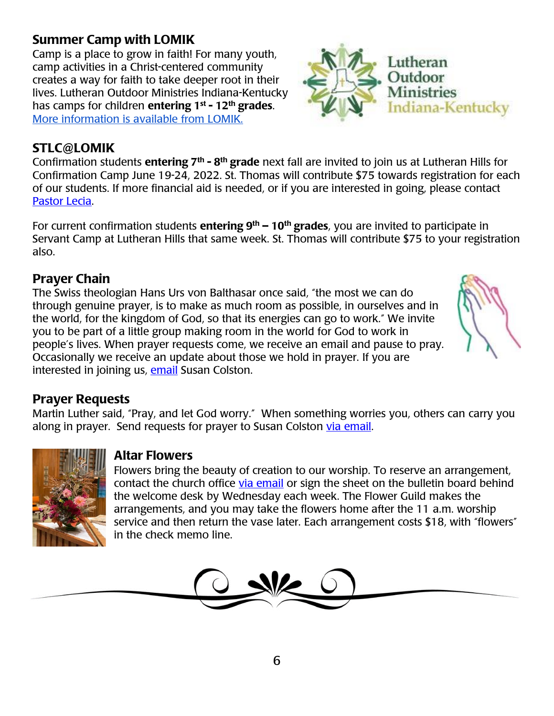## Summer Camp with LOMIK

Camp is a place to grow in faith! For many youth, camp activities in a Christ-centered community creates a way for faith to take deeper root in their lives. Lutheran Outdoor Ministries Indiana-Kentucky hascamps for children entering 1<sup>st</sup> - 12<sup>th</sup> grades. [More information is available from LOMIK.](http://lomik.org/summer_programs.php)

## STLC@LOMIK

Confirmation students entering 7<sup>th</sup> - 8<sup>th</sup> grade next fall are invited to join us at Lutheran Hills for Confirmation Camp June 19-24, 2022. St. Thomas will contribute \$75 towards registration for each of our students. If more financial aid is needed, or if you are interested in going, please contact [Pastor Lecia.](mailto:pastorleciabeck@gmail.com)

For current confirmation students entering  $9<sup>th</sup> - 10<sup>th</sup>$  grades, you are invited to participate in Servant Camp at Lutheran Hills that same week. St. Thomas will contribute \$75 to your registration also.

## Prayer Chain

The Swiss theologian Hans Urs von Balthasar once said, "the most we can do through genuine prayer, is to make as much room as possible, in ourselves and in the world, for the kingdom of God, so that its energies can go to work." We invite you to be part of a little group making room in the world for God to work in people's lives. When prayer requests come, we receive an email and pause to pray. Occasionally we receive an update about those we hold in prayer. If you are interested in joining us, [email](mailto:skcolston@aol.com) Susan Colston.

### Prayer Requests

Martin Luther said, "Pray, and let God worry." When something worries you, others can carry you along in prayer. Send requests for prayer to Susan Colston via [email.](mailto:skcolston@aol.com)



#### Altar Flowers

Flowers bring the beauty of creation to our worship. To reserve an arrangement, contact the church office [via email](mailto:parishadmin@stlconline.org) or sign the sheet on the bulletin board behind the welcome desk by Wednesday each week. The Flower Guild makes the arrangements, and you may take the flowers home after the 11 a.m. worship service and then return the vase later. Each arrangement costs \$18, with "flowers" in the check memo line.



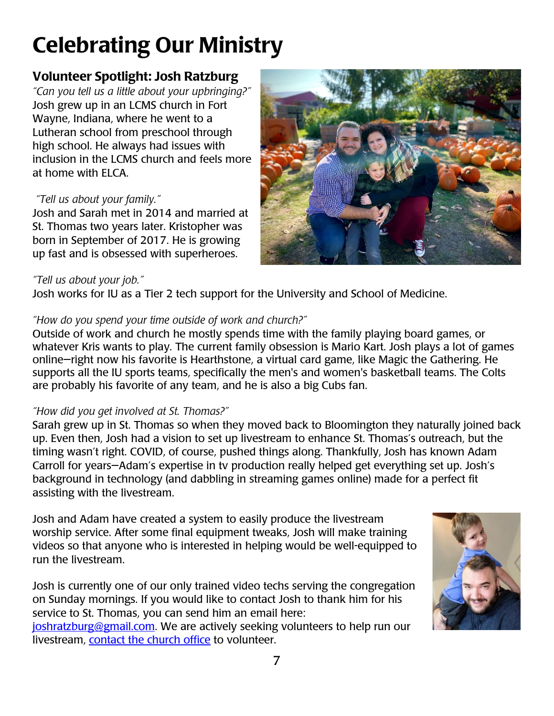## Celebrating Our Ministry

## Volunteer Spotlight: Josh Ratzburg

*"Can you tell us a little about your upbringing?"* Josh grew up in an LCMS church in Fort Wayne, Indiana, where he went to a Lutheran school from preschool through high school. He always had issues with inclusion in the LCMS church and feels more at home with ELCA.

#### *"Tell us about your family."*

Josh and Sarah met in 2014 and married at St. Thomas two years later. Kristopher was born in September of 2017. He is growing up fast and is obsessed with superheroes.

#### *"Tell us about your job."*

Josh works for IU as a Tier 2 tech support for the University and School of Medicine.

#### *"How do you spend your time outside of work and church?"*

Outside of work and church he mostly spends time with the family playing board games, or whatever Kris wants to play. The current family obsession is Mario Kart. Josh plays a lot of games online—right now his favorite is Hearthstone, a virtual card game, like Magic the Gathering. He supports all the IU sports teams, specifically the men's and women's basketball teams. The Colts are probably his favorite of any team, and he is also a big Cubs fan.

#### *"How did you get involved at St. Thomas?"*

Sarah grew up in St. Thomas so when they moved back to Bloomington they naturally joined back up. Even then, Josh had a vision to set up livestream to enhance St. Thomas's outreach, but the timing wasn't right. COVID, of course, pushed things along. Thankfully, Josh has known Adam Carroll for years—Adam's expertise in tv production really helped get everything set up. Josh's background in technology (and dabbling in streaming games online) made for a perfect fit assisting with the livestream.

Josh and Adam have created a system to easily produce the livestream worship service. After some final equipment tweaks, Josh will make training videos so that anyone who is interested in helping would be well-equipped to run the livestream.

Josh is currently one of our only trained video techs serving the congregation on Sunday mornings. If you would like to contact Josh to thank him for his service to St. Thomas, you can send him an email here:

[joshratzburg@gmail.com.](mailto:joshratzburg@gmail.com) We are actively seeking volunteers to help run our livestream, **contact the church office** to volunteer.



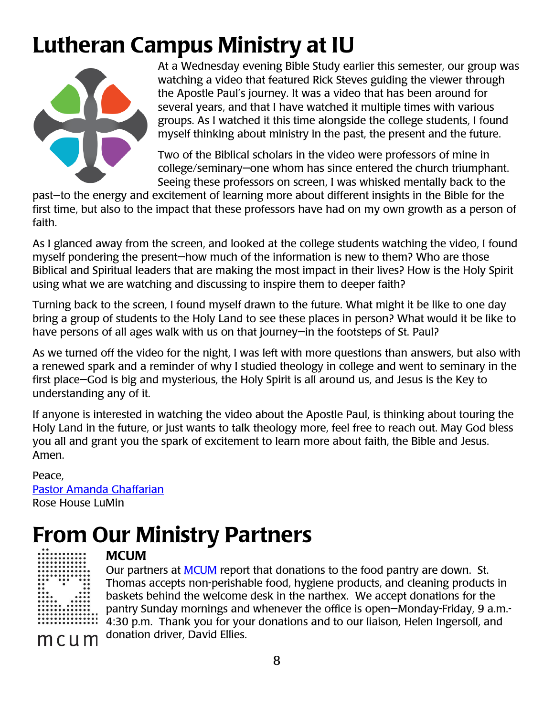## Lutheran Campus Ministry at IU



At a Wednesday evening Bible Study earlier this semester, our group was watching a video that featured Rick Steves guiding the viewer through the Apostle Paul's journey. It was a video that has been around for several years, and that I have watched it multiple times with various groups. As I watched it this time alongside the college students, I found myself thinking about ministry in the past, the present and the future.

Two of the Biblical scholars in the video were professors of mine in college/seminary—one whom has since entered the church triumphant. Seeing these professors on screen, I was whisked mentally back to the

past—to the energy and excitement of learning more about different insights in the Bible for the first time, but also to the impact that these professors have had on my own growth as a person of faith.

As I glanced away from the screen, and looked at the college students watching the video, I found myself pondering the present—how much of the information is new to them? Who are those Biblical and Spiritual leaders that are making the most impact in their lives? How is the Holy Spirit using what we are watching and discussing to inspire them to deeper faith?

Turning back to the screen, I found myself drawn to the future. What might it be like to one day bring a group of students to the Holy Land to see these places in person? What would it be like to have persons of all ages walk with us on that journey—in the footsteps of St. Paul?

As we turned off the video for the night, I was left with more questions than answers, but also with a renewed spark and a reminder of why I studied theology in college and went to seminary in the first place—God is big and mysterious, the Holy Spirit is all around us, and Jesus is the Key to understanding any of it.

If anyone is interested in watching the video about the Apostle Paul, is thinking about touring the Holy Land in the future, or just wants to talk theology more, feel free to reach out. May God bless you all and grant you the spark of excitement to learn more about faith, the Bible and Jesus. Amen.

Peace, [Pastor Amanda Ghaffarian](mailto:lutheran@indiana.edu) Rose House LuMin

## From Our Ministry Partners

mcum

## **MCUM**

Our partners at [MCUM](http://mcum.org/) report that donations to the food pantry are down. St. Thomas accepts non-perishable food, hygiene products, and cleaning products in baskets behind the welcome desk in the narthex. We accept donations for the pantry Sunday mornings and whenever the office is open—Monday-Friday, 9 a.m.- 4:30 p.m. Thank you for your donations and to our liaison, Helen Ingersoll, and donation driver, David Ellies.

8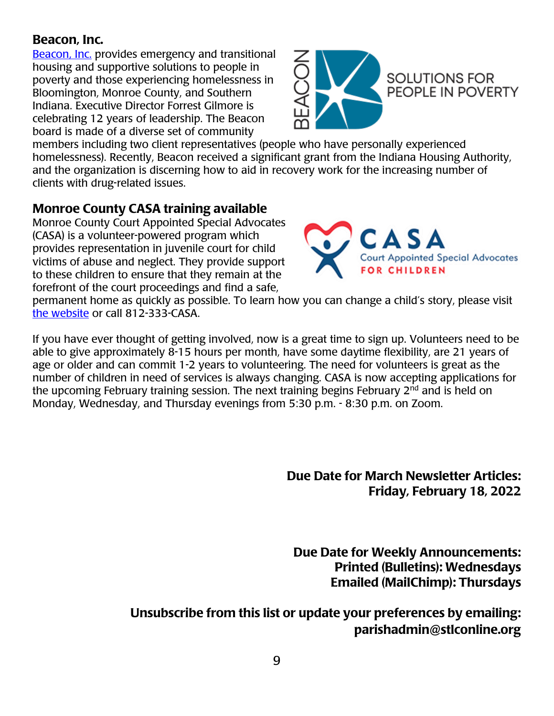#### Beacon, Inc.

[Beacon,](https://beaconinc.org/) Inc. provides emergency and transitional housing and supportive solutions to people in poverty and those experiencing homelessness in Bloomington, Monroe County, and Southern Indiana. Executive Director Forrest Gilmore is celebrating 12 years of leadership. The Beacon board is made of a diverse set of community



members including two client representatives (people who have personally experienced homelessness). Recently, Beacon received a significant grant from the Indiana Housing Authority, and the organization is discerning how to aid in recovery work for the increasing number of clients with drug-related issues.

## Monroe County CASA training available

Monroe County Court Appointed Special Advocates (CASA) is a volunteer-powered program which provides representation in juvenile court for child victims of abuse and neglect. They provide support to these children to ensure that they remain at the forefront of the court proceedings and find a safe,



permanent home as quickly as possible. To learn how you can change a child's story, please visit [the website](http://www.monroecountycasa.org/volunteer) or call 812-333-CASA.

If you have ever thought of getting involved, now is a great time to sign up. Volunteers need to be able to give approximately 8-15 hours per month, have some daytime flexibility, are 21 years of age or older and can commit 1-2 years to volunteering. The need for volunteers is great as the number of children in need of services is always changing. CASA is now accepting applications for the upcoming February training session. The next training begins February 2<sup>nd</sup> and is held on Monday, Wednesday, and Thursday evenings from 5:30 p.m. - 8:30 p.m. on Zoom.

> Due Date for March Newsletter Articles: Friday, February 18, 2022

Due Date for Weekly Announcements: Printed (Bulletins): Wednesdays Emailed (MailChimp): Thursdays

Unsubscribe from this list or update your preferences by emailing: parishadmin@stlconline.org